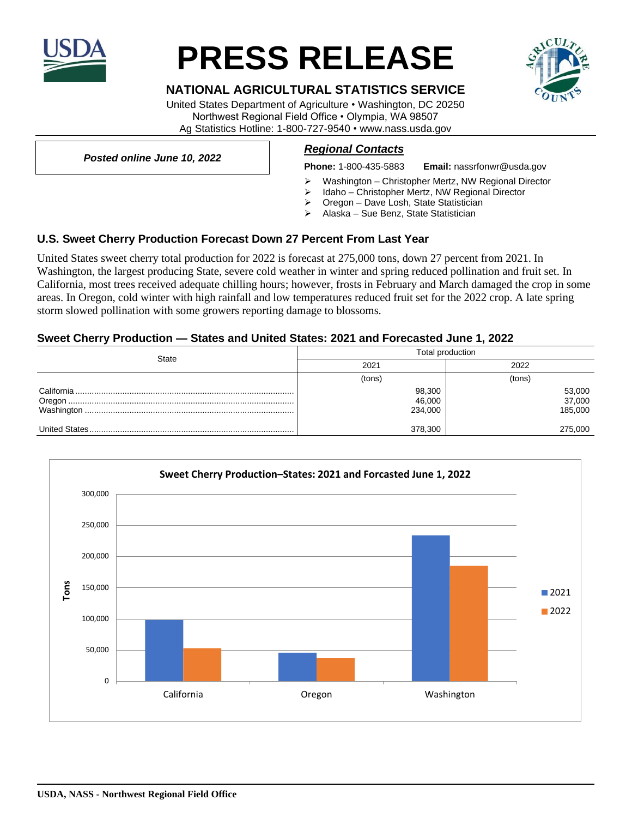

# **PRESS RELEASE**

## **NATIONAL AGRICULTURAL STATISTICS SERVICE**

United States Department of Agriculture • Washington, DC 20250 Northwest Regional Field Office • Olympia, WA 98507 Ag Statistics Hotline: 1-800-727-9540 • www.nass.usda.gov

*Posted online June 10, 2022*

#### *Regional Contacts*

**Phone:** 1-800-435-5883 **Email:** nassrfonwr@usda.gov

- ➢ Washington Christopher Mertz, NW Regional Director
- Idaho Christopher Mertz, NW Regional Director
- ➢ Oregon Dave Losh, State Statistician
- ➢ Alaska Sue Benz, State Statistician

#### **U.S. Sweet Cherry Production Forecast Down 27 Percent From Last Year**

United States sweet cherry total production for 2022 is forecast at 275,000 tons, down 27 percent from 2021. In Washington, the largest producing State, severe cold weather in winter and spring reduced pollination and fruit set. In California, most trees received adequate chilling hours; however, frosts in February and March damaged the crop in some areas. In Oregon, cold winter with high rainfall and low temperatures reduced fruit set for the 2022 crop. A late spring storm slowed pollination with some growers reporting damage to blossoms.

#### **Sweet Cherry Production — States and United States: 2021 and Forecasted June 1, 2022**

| State | Total production |         |
|-------|------------------|---------|
|       | 2021             | 2022    |
|       | (tons)           | (tons)  |
|       | 98,300           | 53,000  |
|       | 46,000           | 37,000  |
|       | 234,000          | 185,000 |
|       | 378,300          | 275,000 |